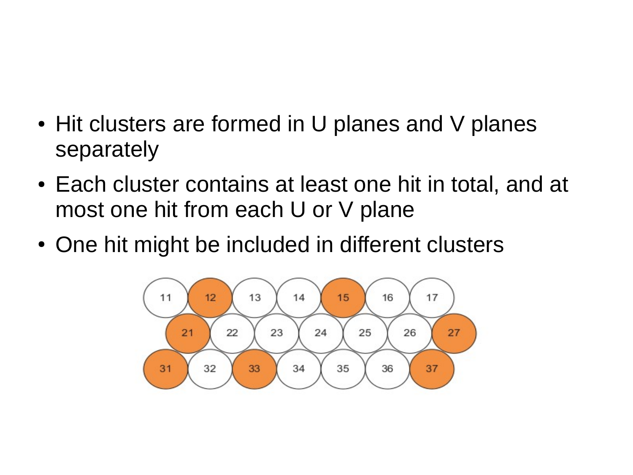- Hit clusters are formed in U planes and V planes separately
- Each cluster contains at least one hit in total, and at most one hit from each U or V plane
- One hit might be included in different clusters

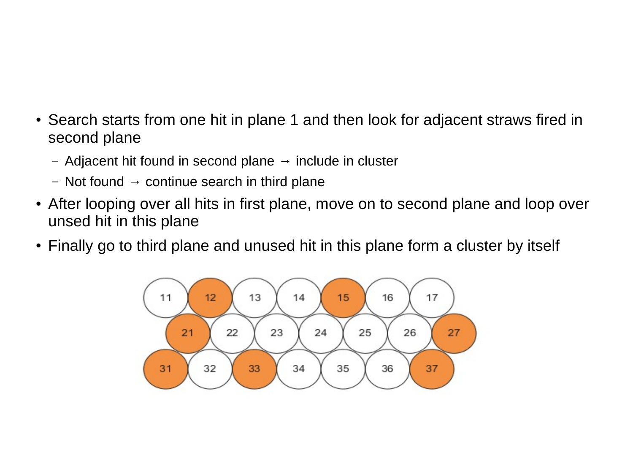- Search starts from one hit in plane 1 and then look for adjacent straws fired in second plane
	- Adjacent hit found in second plane  $\rightarrow$  include in cluster
	- Not found  $\rightarrow$  continue search in third plane
- After looping over all hits in first plane, move on to second plane and loop over unsed hit in this plane
- Finally go to third plane and unused hit in this plane form a cluster by itself

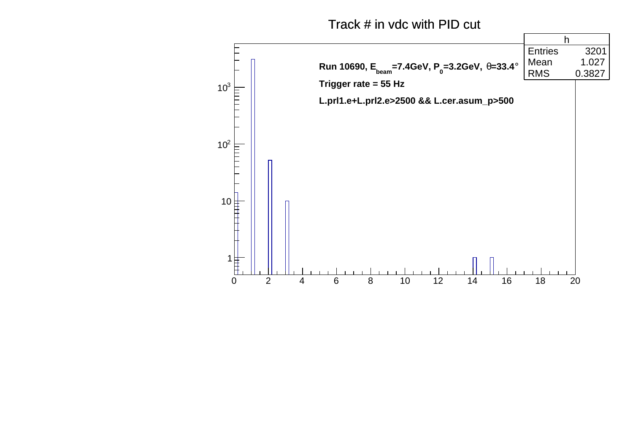Track # in vdc with PID cut

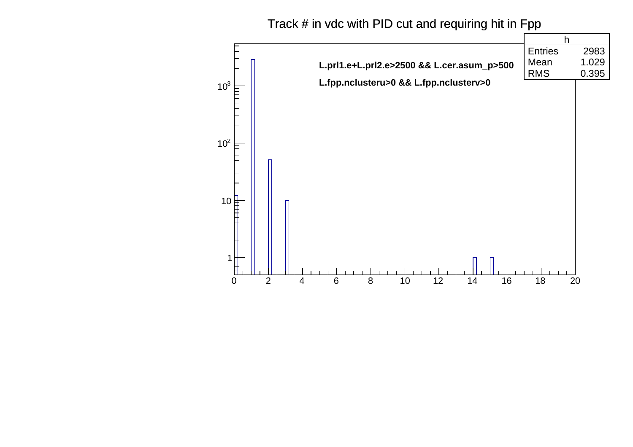## Track # in vdc with PID cut and requiring hit in Fpp

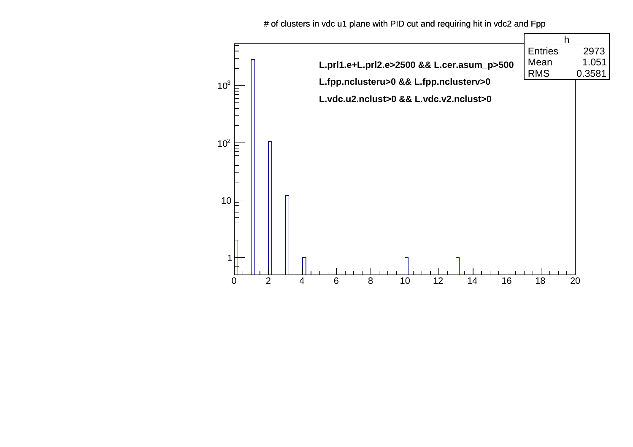# of clusters in vdc u1 plane with PID cut and requiring hit in vdc2 and Fpp

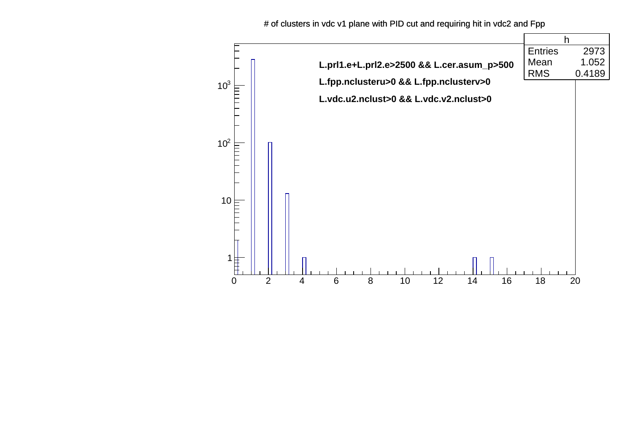# of clusters in vdc v1 plane with PID cut and requiring hit in vdc2 and Fpp

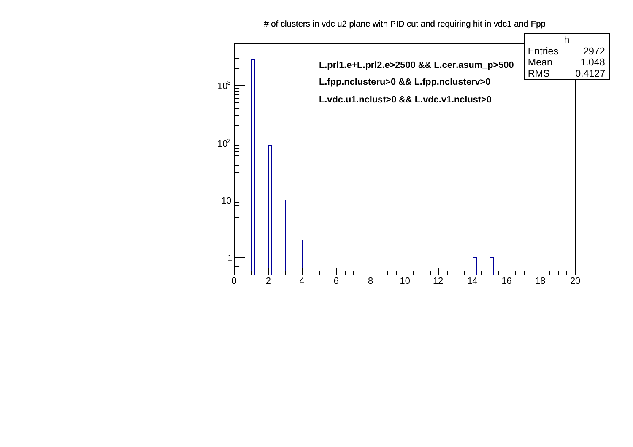# of clusters in vdc u2 plane with PID cut and requiring hit in vdc1 and Fpp